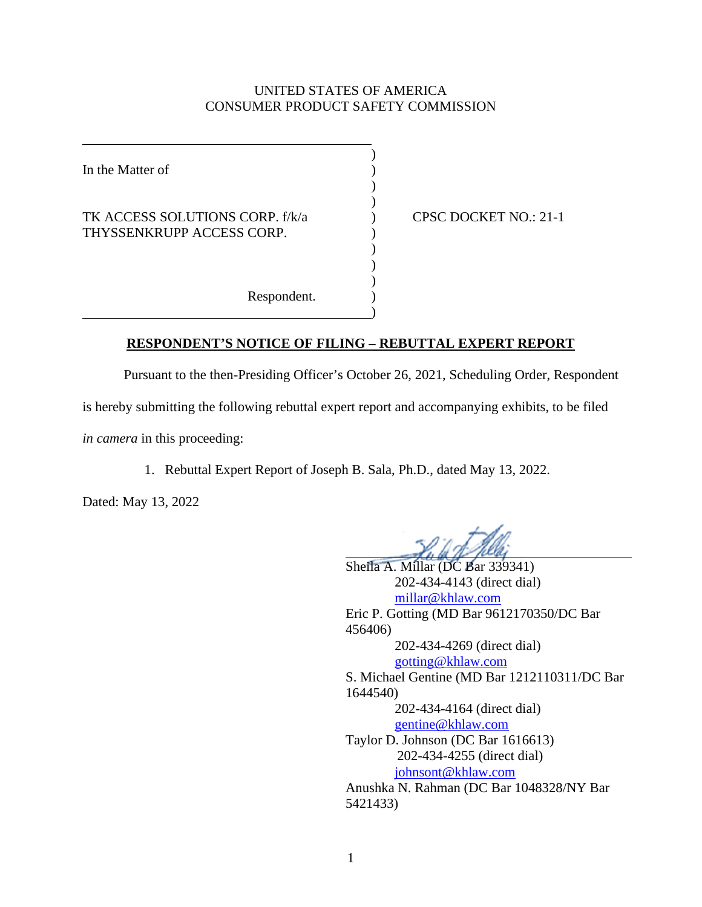## UNITED STATES OF AMERICA CONSUMER PRODUCT SAFETY COMMISSION

| In the Matter of                                             |  |
|--------------------------------------------------------------|--|
| TK ACCESS SOLUTIONS CORP. f/k/a<br>THYSSENKRUPP ACCESS CORP. |  |
| Respondent.                                                  |  |

) CPSC DOCKET NO.: 21-1

## **RESPONDENT'S NOTICE OF FILING – REBUTTAL EXPERT REPORT**

Pursuant to the then-Presiding Officer's October 26, 2021, Scheduling Order, Respondent

)

is hereby submitting the following rebuttal expert report and accompanying exhibits, to be filed

*in camera* in this proceeding:

1. Rebuttal Expert Report of Joseph B. Sala, Ph.D., dated May 13, 2022.

Dated: May 13, 2022

Sheila A. Millar (DC Bar 339341) 202-434-4143 (direct dial) [millar@khlaw.com](mailto:millar@khlaw.com) Eric P. Gotting (MD Bar 9612170350/DC Bar 456406) 202-434-4269 (direct dial) [gotting@khlaw.com](mailto:gotting@khlaw.com) S. Michael Gentine (MD Bar 1212110311/DC Bar 1644540) 202-434-4164 (direct dial) [gentine@khlaw.com](mailto:gentine@khlaw.com) Taylor D. Johnson (DC Bar 1616613) 202-434-4255 (direct dial) [johnsont@khlaw.com](mailto:johnsont@khlaw.com) Anushka N. Rahman (DC Bar 1048328/NY Bar 5421433)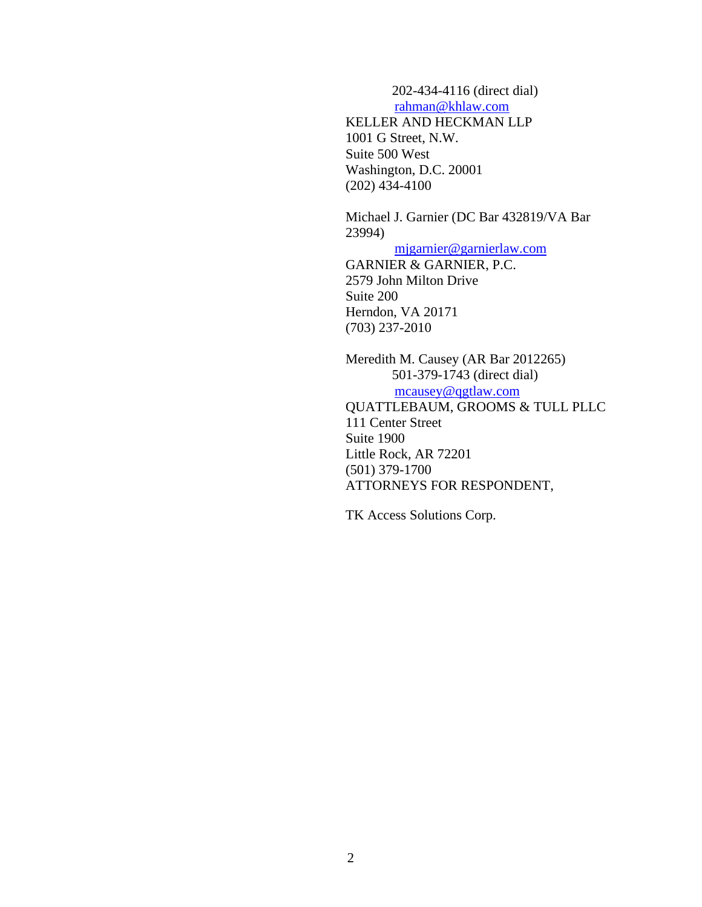202-434-4116 (direct dial) [rahman@khlaw.com](mailto:rahman@khlaw.com)

KELLER AND HECKMAN LLP 1001 G Street, N.W. Suite 500 West Washington, D.C. 20001 (202) 434-4100

Michael J. Garnier (DC Bar 432819/VA Bar 23994)

[mjgarnier@garnierlaw.com](mailto:mjgarnier@garnierlaw.com)

GARNIER & GARNIER, P.C. 2579 John Milton Drive Suite 200 Herndon, VA 20171 (703) 237-2010

Meredith M. Causey (AR Bar 2012265) 501-379-1743 (direct dial) [mcausey@qgtlaw.com](mailto:mcausey@qgtlaw.com) QUATTLEBAUM, GROOMS & TULL PLLC 111 Center Street Suite 1900 Little Rock, AR 72201 (501) 379-1700 ATTORNEYS FOR RESPONDENT,

TK Access Solutions Corp.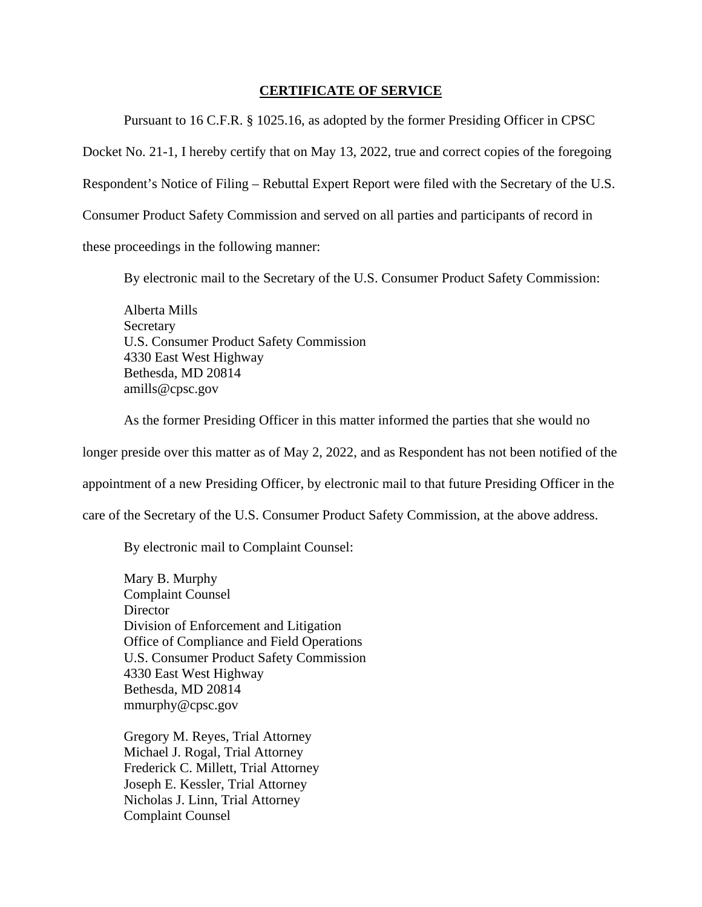## **CERTIFICATE OF SERVICE**

Pursuant to 16 C.F.R. § 1025.16, as adopted by the former Presiding Officer in CPSC

Docket No. 21-1, I hereby certify that on May 13, 2022, true and correct copies of the foregoing

Respondent's Notice of Filing – Rebuttal Expert Report were filed with the Secretary of the U.S.

Consumer Product Safety Commission and served on all parties and participants of record in

these proceedings in the following manner:

By electronic mail to the Secretary of the U.S. Consumer Product Safety Commission:

Alberta Mills Secretary U.S. Consumer Product Safety Commission 4330 East West Highway Bethesda, MD 20814 amills@cpsc.gov

As the former Presiding Officer in this matter informed the parties that she would no

longer preside over this matter as of May 2, 2022, and as Respondent has not been notified of the

appointment of a new Presiding Officer, by electronic mail to that future Presiding Officer in the

care of the Secretary of the U.S. Consumer Product Safety Commission, at the above address.

By electronic mail to Complaint Counsel:

Mary B. Murphy Complaint Counsel **Director** Division of Enforcement and Litigation Office of Compliance and Field Operations U.S. Consumer Product Safety Commission 4330 East West Highway Bethesda, MD 20814 mmurphy@cpsc.gov

Gregory M. Reyes, Trial Attorney Michael J. Rogal, Trial Attorney Frederick C. Millett, Trial Attorney Joseph E. Kessler, Trial Attorney Nicholas J. Linn, Trial Attorney Complaint Counsel